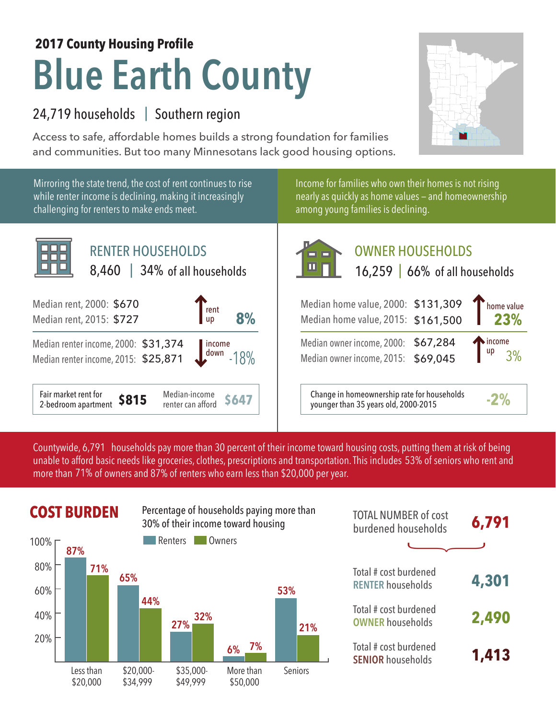# **Blue Earth County 2017 County Housing Profile**

### 24,719 households | Southern region

Access to safe, affordable homes builds a strong foundation for families and communities. But too many Minnesotans lack good housing options.



Mirroring the state trend, the cost of rent continues to rise while renter income is declining, making it increasingly challenging for renters to make ends meet.



Income for families who own their homes is not rising nearly as quickly as home values — and homeownership among young families is declining.



## OWNER HOUSEHOLDS

| rent<br>8%<br>  up                                         | Median home value, 2000: \$131,309<br>Median home value, 2015: \$161,500            | Thome value<br>23% |
|------------------------------------------------------------|-------------------------------------------------------------------------------------|--------------------|
| 374 <i>income</i><br>871 <i>down</i><br>  income<br>$-18%$ | Median owner income, 2000: \$67,284<br>Median owner income, 2015: \$69,045          | income<br>up       |
| Median-income<br>\$647<br>renter can afford                | Change in homeownership rate for households<br>younger than 35 years old, 2000-2015 |                    |

Countywide, 6,791 households pay more than 30 percent of their income toward housing costs, putting them at risk of being unable to afford basic needs like groceries, clothes, prescriptions and transportation. This includes 53% of seniors who rent and more than 71% of owners and 87% of renters who earn less than \$20,000 per year.



|            | <b>COST BURDEN</b> |           |            | Percentage of households paying more than<br>30% of their income toward housing |                | <b>TOTAL NUMBER of cost</b><br>burdened households | 6,791 |
|------------|--------------------|-----------|------------|---------------------------------------------------------------------------------|----------------|----------------------------------------------------|-------|
| 100% г     | 87%                |           | Renters    | Owners                                                                          |                |                                                    |       |
| 80%<br>60% | 71%                | 65%       |            |                                                                                 | 53%            | Total # cost burdened<br><b>RENTER households</b>  | 4,301 |
| 40%        |                    | 44%       | 32%<br>27% |                                                                                 | 21%            | Total # cost burdened<br><b>OWNER households</b>   | 2,490 |
| 20%        |                    |           |            | 7%<br>6%                                                                        |                | Total # cost burdened<br><b>SENIOR households</b>  | 1,413 |
|            | Less than          | \$20,000- | \$35,000-  | More than                                                                       | <b>Seniors</b> |                                                    |       |